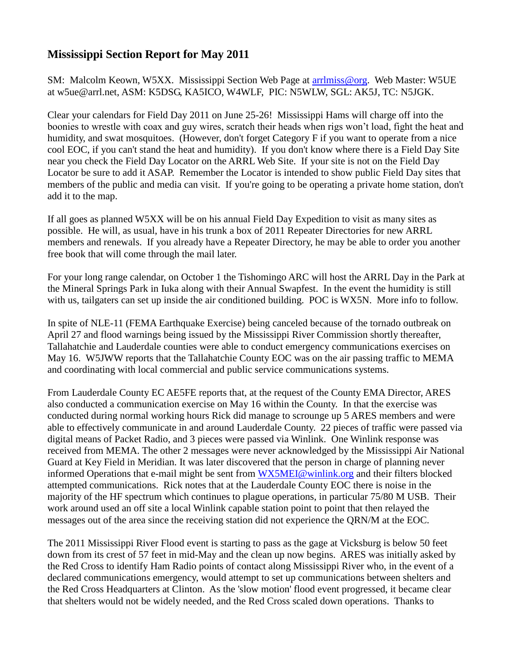## **Mississippi Section Report for May 2011**

SM: Malcolm Keown, W5XX. Mississippi Section Web Page at [arrlmiss@org.](mailto:arrlmiss@org) Web Master: W5UE at w5ue@arrl.net, ASM: K5DSG, KA5ICO, W4WLF, PIC: N5WLW, SGL: AK5J, TC: N5JGK.

Clear your calendars for Field Day 2011 on June 25-26! Mississippi Hams will charge off into the boonies to wrestle with coax and guy wires, scratch their heads when rigs won't load, fight the heat and humidity, and swat mosquitoes. (However, don't forget Category F if you want to operate from a nice cool EOC, if you can't stand the heat and humidity). If you don't know where there is a Field Day Site near you check the Field Day Locator on the ARRL Web Site. If your site is not on the Field Day Locator be sure to add it ASAP. Remember the Locator is intended to show public Field Day sites that members of the public and media can visit. If you're going to be operating a private home station, don't add it to the map.

If all goes as planned W5XX will be on his annual Field Day Expedition to visit as many sites as possible. He will, as usual, have in his trunk a box of 2011 Repeater Directories for new ARRL members and renewals. If you already have a Repeater Directory, he may be able to order you another free book that will come through the mail later.

For your long range calendar, on October 1 the Tishomingo ARC will host the ARRL Day in the Park at the Mineral Springs Park in Iuka along with their Annual Swapfest. In the event the humidity is still with us, tailgaters can set up inside the air conditioned building. POC is WX5N. More info to follow.

In spite of NLE-11 (FEMA Earthquake Exercise) being canceled because of the tornado outbreak on April 27 and flood warnings being issued by the Mississippi River Commission shortly thereafter, Tallahatchie and Lauderdale counties were able to conduct emergency communications exercises on May 16. W5JWW reports that the Tallahatchie County EOC was on the air passing traffic to MEMA and coordinating with local commercial and public service communications systems.

From Lauderdale County EC AE5FE reports that, at the request of the County EMA Director, ARES also conducted a communication exercise on May 16 within the County. In that the exercise was conducted during normal working hours Rick did manage to scrounge up 5 ARES members and were able to effectively communicate in and around Lauderdale County. 22 pieces of traffic were passed via digital means of Packet Radio, and 3 pieces were passed via Winlink. One Winlink response was received from MEMA. The other 2 messages were never acknowledged by the Mississippi Air National Guard at Key Field in Meridian. It was later discovered that the person in charge of planning never informed Operations that e-mail might be sent from [WX5MEI@winlink.org](mailto:WX5MEI@winlink.org) and their filters blocked attempted communications. Rick notes that at the Lauderdale County EOC there is noise in the majority of the HF spectrum which continues to plague operations, in particular 75/80 M USB. Their work around used an off site a local Winlink capable station point to point that then relayed the messages out of the area since the receiving station did not experience the QRN/M at the EOC.

The 2011 Mississippi River Flood event is starting to pass as the gage at Vicksburg is below 50 feet down from its crest of 57 feet in mid-May and the clean up now begins. ARES was initially asked by the Red Cross to identify Ham Radio points of contact along Mississippi River who, in the event of a declared communications emergency, would attempt to set up communications between shelters and the Red Cross Headquarters at Clinton. As the 'slow motion' flood event progressed, it became clear that shelters would not be widely needed, and the Red Cross scaled down operations. Thanks to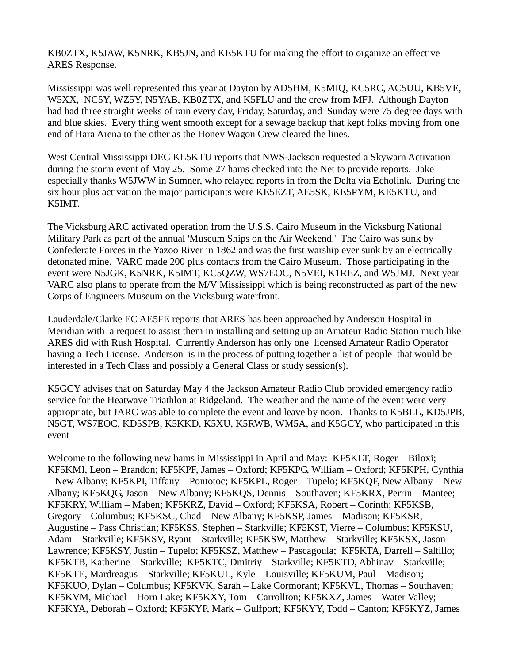KB0ZTX, K5JAW, K5NRK, KB5JN, and KE5KTU for making the effort to organize an effective ARES Response.

Mississippi was well represented this year at Dayton by AD5HM, K5MIQ, KC5RC, AC5UU, KB5VE, W5XX, NC5Y, WZ5Y, N5YAB, KB0ZTX, and K5FLU and the crew from MFJ. Although Dayton had had three straight weeks of rain every day, Friday, Saturday, and Sunday were 75 degree days with and blue skies. Every thing went smooth except for a sewage backup that kept folks moving from one end of Hara Arena to the other as the Honey Wagon Crew cleared the lines.

West Central Mississippi DEC KE5KTU reports that NWS-Jackson requested a Skywarn Activation during the storm event of May 25. Some 27 hams checked into the Net to provide reports. Jake especially thanks W5JWW in Sumner, who relayed reports in from the Delta via Echolink. During the six hour plus activation the major participants were KE5EZT, AE5SK, KE5PYM, KE5KTU, and K5IMT.

The Vicksburg ARC activated operation from the U.S.S. Cairo Museum in the Vicksburg National Military Park as part of the annual 'Museum Ships on the Air Weekend.' The Cairo was sunk by Confederate Forces in the Yazoo River in 1862 and was the first warship ever sunk by an electrically detonated mine. VARC made 200 plus contacts from the Cairo Museum. Those participating in the event were N5JGK, K5NRK, K5IMT, KC5QZW, WS7EOC, N5VEI, K1REZ, and W5JMJ. Next year VARC also plans to operate from the M/V Mississippi which is being reconstructed as part of the new Corps of Engineers Museum on the Vicksburg waterfront.

Lauderdale/Clarke EC AE5FE reports that ARES has been approached by Anderson Hospital in Meridian with a request to assist them in installing and setting up an Amateur Radio Station much like ARES did with Rush Hospital. Currently Anderson has only one licensed Amateur Radio Operator having a Tech License. Anderson is in the process of putting together a list of people that would be interested in a Tech Class and possibly a General Class or study session(s).

K5GCY advises that on Saturday May 4 the Jackson Amateur Radio Club provided emergency radio service for the Heatwave Triathlon at Ridgeland. The weather and the name of the event were very appropriate, but JARC was able to complete the event and leave by noon. Thanks to K5BLL, KD5JPB, N5GT, WS7EOC, KD5SPB, K5KKD, K5XU, K5RWB, WM5A, and K5GCY, who participated in this event

Welcome to the following new hams in Mississippi in April and May: KF5KLT, Roger – Biloxi; KF5KMI, Leon – Brandon; KF5KPF, James – Oxford; KF5KPG, William – Oxford; KF5KPH, Cynthia – New Albany; KF5KPI, Tiffany – Pontotoc; KF5KPL, Roger – Tupelo; KF5KQF, New Albany – New Albany; KF5KQG, Jason – New Albany; KF5KQS, Dennis – Southaven; KF5KRX, Perrin – Mantee; KF5KRY, William – Maben; KF5KRZ, David – Oxford; KF5KSA, Robert – Corinth; KF5KSB, Gregory – Columbus; KF5KSC, Chad – New Albany; KF5KSP, James – Madison; KF5KSR, Augustine – Pass Christian; KF5KSS, Stephen – Starkville; KF5KST, Vierre – Columbus; KF5KSU, Adam – Starkville; KF5KSV, Ryant – Starkville; KF5KSW, Matthew – Starkville; KF5KSX, Jason – Lawrence; KF5KSY, Justin – Tupelo; KF5KSZ, Matthew – Pascagoula; KF5KTA, Darrell – Saltillo; KF5KTB, Katherine – Starkville; KF5KTC, Dmitriy – Starkville; KF5KTD, Abhinav – Starkville; KF5KTE, Mardreagus – Starkville; KF5KUL, Kyle – Louisville; KF5KUM, Paul – Madison; KF5KUO, Dylan – Columbus; KF5KVK, Sarah – Lake Cormorant; KF5KVL, Thomas – Southaven; KF5KVM, Michael – Horn Lake; KF5KXY, Tom – Carrollton; KF5KXZ, James – Water Valley; KF5KYA, Deborah – Oxford; KF5KYP, Mark – Gulfport; KF5KYY, Todd – Canton; KF5KYZ, James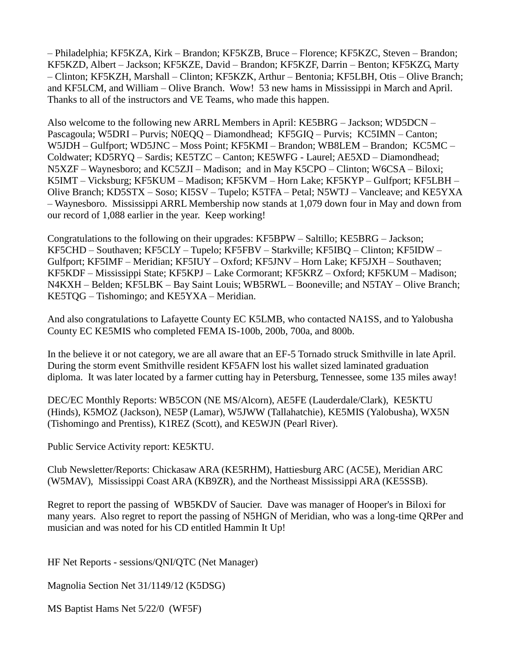– Philadelphia; KF5KZA, Kirk – Brandon; KF5KZB, Bruce – Florence; KF5KZC, Steven – Brandon; KF5KZD, Albert – Jackson; KF5KZE, David – Brandon; KF5KZF, Darrin – Benton; KF5KZG, Marty – Clinton; KF5KZH, Marshall – Clinton; KF5KZK, Arthur – Bentonia; KF5LBH, Otis – Olive Branch; and KF5LCM, and William – Olive Branch. Wow! 53 new hams in Mississippi in March and April. Thanks to all of the instructors and VE Teams, who made this happen.

Also welcome to the following new ARRL Members in April: KE5BRG – Jackson; WD5DCN – Pascagoula; W5DRI – Purvis; N0EQQ – Diamondhead; KF5GIQ – Purvis; KC5IMN – Canton; W5JDH – Gulfport; WD5JNC – Moss Point; KF5KMI – Brandon; WB8LEM – Brandon; KC5MC – Coldwater; KD5RYQ – Sardis; KE5TZC – Canton; KE5WFG - Laurel; AE5XD – Diamondhead; N5XZF – Waynesboro; and KC5ZJI – Madison; and in May K5CPO – Clinton; W6CSA – Biloxi; K5IMT – Vicksburg; KF5KUM – Madison; KF5KVM – Horn Lake; KF5KYP – Gulfport; KF5LBH – Olive Branch; KD5STX – Soso; KI5SV – Tupelo; K5TFA – Petal; N5WTJ – Vancleave; and KE5YXA – Waynesboro. Mississippi ARRL Membership now stands at 1,079 down four in May and down from our record of 1,088 earlier in the year. Keep working!

Congratulations to the following on their upgrades: KF5BPW – Saltillo; KE5BRG – Jackson; KF5CHD – Southaven; KF5CLY – Tupelo; KF5FBV – Starkville; KF5IBQ – Clinton; KF5IDW – Gulfport; KF5IMF – Meridian; KF5IUY – Oxford; KF5JNV – Horn Lake; KF5JXH – Southaven; KF5KDF – Mississippi State; KF5KPJ – Lake Cormorant; KF5KRZ – Oxford; KF5KUM – Madison; N4KXH – Belden; KF5LBK – Bay Saint Louis; WB5RWL – Booneville; and N5TAY – Olive Branch; KE5TQG – Tishomingo; and KE5YXA – Meridian.

And also congratulations to Lafayette County EC K5LMB, who contacted NA1SS, and to Yalobusha County EC KE5MIS who completed FEMA IS-100b, 200b, 700a, and 800b.

In the believe it or not category, we are all aware that an EF-5 Tornado struck Smithville in late April. During the storm event Smithville resident KF5AFN lost his wallet sized laminated graduation diploma. It was later located by a farmer cutting hay in Petersburg, Tennessee, some 135 miles away!

DEC/EC Monthly Reports: WB5CON (NE MS/Alcorn), AE5FE (Lauderdale/Clark), KE5KTU (Hinds), K5MOZ (Jackson), NE5P (Lamar), W5JWW (Tallahatchie), KE5MIS (Yalobusha), WX5N (Tishomingo and Prentiss), K1REZ (Scott), and KE5WJN (Pearl River).

Public Service Activity report: KE5KTU.

Club Newsletter/Reports: Chickasaw ARA (KE5RHM), Hattiesburg ARC (AC5E), Meridian ARC (W5MAV), Mississippi Coast ARA (KB9ZR), and the Northeast Mississippi ARA (KE5SSB).

Regret to report the passing of WB5KDV of Saucier. Dave was manager of Hooper's in Biloxi for many years. Also regret to report the passing of N5HGN of Meridian, who was a long-time QRPer and musician and was noted for his CD entitled Hammin It Up!

HF Net Reports - sessions/QNI/QTC (Net Manager)

Magnolia Section Net 31/1149/12 (K5DSG)

MS Baptist Hams Net 5/22/0 (WF5F)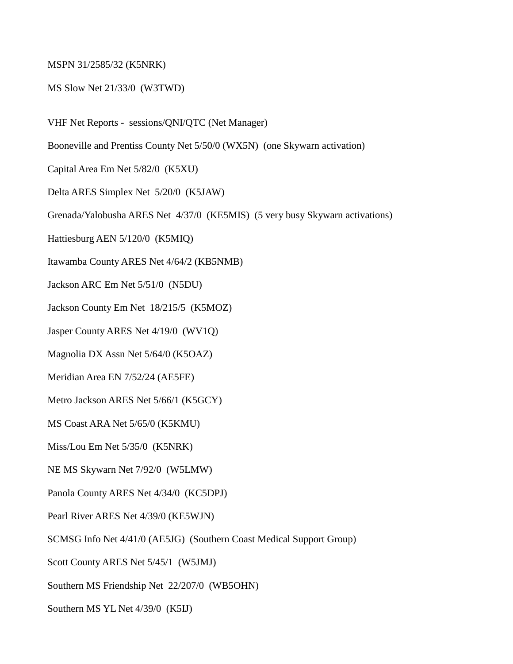## MSPN 31/2585/32 (K5NRK)

## MS Slow Net 21/33/0 (W3TWD)

- VHF Net Reports sessions/QNI/QTC (Net Manager)
- Booneville and Prentiss County Net 5/50/0 (WX5N) (one Skywarn activation)
- Capital Area Em Net 5/82/0 (K5XU)
- Delta ARES Simplex Net 5/20/0 (K5JAW)
- Grenada/Yalobusha ARES Net 4/37/0 (KE5MIS) (5 very busy Skywarn activations)
- Hattiesburg AEN 5/120/0 (K5MIQ)
- Itawamba County ARES Net 4/64/2 (KB5NMB)
- Jackson ARC Em Net 5/51/0 (N5DU)
- Jackson County Em Net 18/215/5 (K5MOZ)
- Jasper County ARES Net 4/19/0 (WV1Q)
- Magnolia DX Assn Net 5/64/0 (K5OAZ)
- Meridian Area EN 7/52/24 (AE5FE)
- Metro Jackson ARES Net 5/66/1 (K5GCY)
- MS Coast ARA Net 5/65/0 (K5KMU)
- Miss/Lou Em Net 5/35/0 (K5NRK)
- NE MS Skywarn Net 7/92/0 (W5LMW)
- Panola County ARES Net 4/34/0 (KC5DPJ)
- Pearl River ARES Net 4/39/0 (KE5WJN)
- SCMSG Info Net 4/41/0 (AE5JG) (Southern Coast Medical Support Group)
- Scott County ARES Net 5/45/1 (W5JMJ)
- Southern MS Friendship Net 22/207/0 (WB5OHN)
- Southern MS YL Net 4/39/0 (K5IJ)